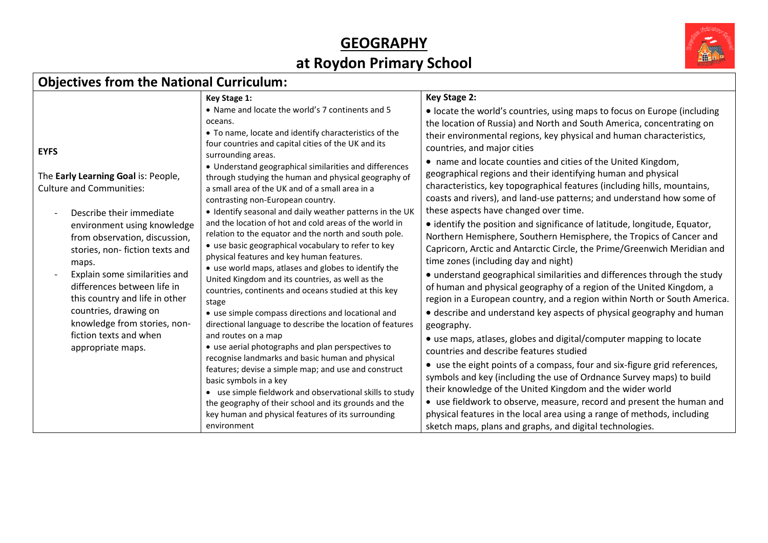#### **GEOGRAPHY at Roydon Primary School**



#### **Objectives from the National Curriculum:**

|                                                                                                                                                                                                                                                                                                                                                                                                                         | Key Stage 1:                                                                                                                                                                                                                                                                                                                                                                                                                                                                                                                                                                                                                                                                                                                                                                                                                                                                                                                                                                                                                                                                                                                                           | Key Stage 2:                                                                                                                                                                                                                                                                                                                                                                                                                                                                                                                                                                                 |
|-------------------------------------------------------------------------------------------------------------------------------------------------------------------------------------------------------------------------------------------------------------------------------------------------------------------------------------------------------------------------------------------------------------------------|--------------------------------------------------------------------------------------------------------------------------------------------------------------------------------------------------------------------------------------------------------------------------------------------------------------------------------------------------------------------------------------------------------------------------------------------------------------------------------------------------------------------------------------------------------------------------------------------------------------------------------------------------------------------------------------------------------------------------------------------------------------------------------------------------------------------------------------------------------------------------------------------------------------------------------------------------------------------------------------------------------------------------------------------------------------------------------------------------------------------------------------------------------|----------------------------------------------------------------------------------------------------------------------------------------------------------------------------------------------------------------------------------------------------------------------------------------------------------------------------------------------------------------------------------------------------------------------------------------------------------------------------------------------------------------------------------------------------------------------------------------------|
| <b>EYFS</b>                                                                                                                                                                                                                                                                                                                                                                                                             | • Name and locate the world's 7 continents and 5<br>oceans.<br>• To name, locate and identify characteristics of the<br>four countries and capital cities of the UK and its                                                                                                                                                                                                                                                                                                                                                                                                                                                                                                                                                                                                                                                                                                                                                                                                                                                                                                                                                                            | • locate the world's countries, using maps to focus on Europe (including<br>the location of Russia) and North and South America, concentrating on<br>their environmental regions, key physical and human characteristics,<br>countries, and major cities                                                                                                                                                                                                                                                                                                                                     |
| The Early Learning Goal is: People,<br><b>Culture and Communities:</b><br>Describe their immediate<br>environment using knowledge<br>from observation, discussion,<br>stories, non-fiction texts and<br>maps.<br>Explain some similarities and<br>differences between life in<br>this country and life in other<br>countries, drawing on<br>knowledge from stories, non-<br>fiction texts and when<br>appropriate maps. | surrounding areas.<br>• Understand geographical similarities and differences<br>through studying the human and physical geography of<br>a small area of the UK and of a small area in a<br>contrasting non-European country.<br>. Identify seasonal and daily weather patterns in the UK<br>and the location of hot and cold areas of the world in<br>relation to the equator and the north and south pole.<br>• use basic geographical vocabulary to refer to key<br>physical features and key human features.<br>• use world maps, atlases and globes to identify the<br>United Kingdom and its countries, as well as the<br>countries, continents and oceans studied at this key<br>stage<br>• use simple compass directions and locational and<br>directional language to describe the location of features<br>and routes on a map<br>• use aerial photographs and plan perspectives to<br>recognise landmarks and basic human and physical<br>features; devise a simple map; and use and construct<br>basic symbols in a key<br>• use simple fieldwork and observational skills to study<br>the geography of their school and its grounds and the | • name and locate counties and cities of the United Kingdom,<br>geographical regions and their identifying human and physical<br>characteristics, key topographical features (including hills, mountains,<br>coasts and rivers), and land-use patterns; and understand how some of<br>these aspects have changed over time.                                                                                                                                                                                                                                                                  |
|                                                                                                                                                                                                                                                                                                                                                                                                                         |                                                                                                                                                                                                                                                                                                                                                                                                                                                                                                                                                                                                                                                                                                                                                                                                                                                                                                                                                                                                                                                                                                                                                        | • identify the position and significance of latitude, longitude, Equator,<br>Northern Hemisphere, Southern Hemisphere, the Tropics of Cancer and<br>Capricorn, Arctic and Antarctic Circle, the Prime/Greenwich Meridian and<br>time zones (including day and night)<br>• understand geographical similarities and differences through the study<br>of human and physical geography of a region of the United Kingdom, a<br>region in a European country, and a region within North or South America.<br>• describe and understand key aspects of physical geography and human<br>geography. |
|                                                                                                                                                                                                                                                                                                                                                                                                                         |                                                                                                                                                                                                                                                                                                                                                                                                                                                                                                                                                                                                                                                                                                                                                                                                                                                                                                                                                                                                                                                                                                                                                        | • use maps, atlases, globes and digital/computer mapping to locate<br>countries and describe features studied                                                                                                                                                                                                                                                                                                                                                                                                                                                                                |
|                                                                                                                                                                                                                                                                                                                                                                                                                         |                                                                                                                                                                                                                                                                                                                                                                                                                                                                                                                                                                                                                                                                                                                                                                                                                                                                                                                                                                                                                                                                                                                                                        | • use the eight points of a compass, four and six-figure grid references,<br>symbols and key (including the use of Ordnance Survey maps) to build<br>their knowledge of the United Kingdom and the wider world<br>• use fieldwork to observe, measure, record and present the human and                                                                                                                                                                                                                                                                                                      |
|                                                                                                                                                                                                                                                                                                                                                                                                                         | key human and physical features of its surrounding<br>environment                                                                                                                                                                                                                                                                                                                                                                                                                                                                                                                                                                                                                                                                                                                                                                                                                                                                                                                                                                                                                                                                                      | physical features in the local area using a range of methods, including<br>sketch maps, plans and graphs, and digital technologies.                                                                                                                                                                                                                                                                                                                                                                                                                                                          |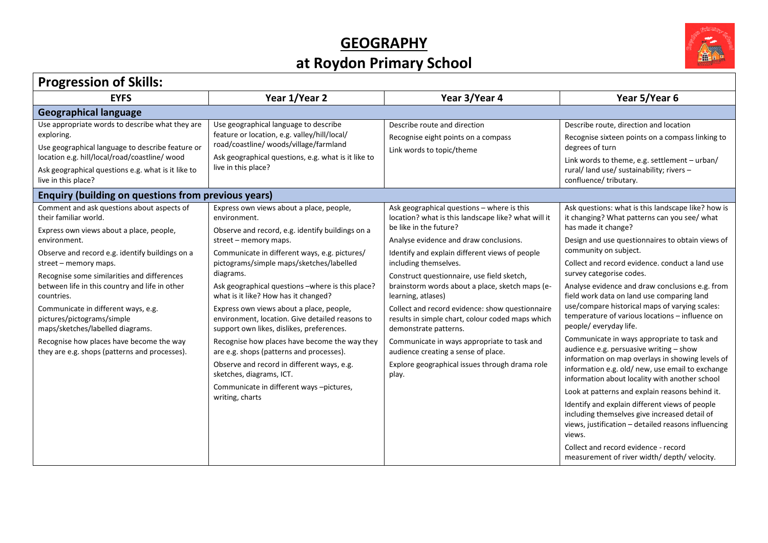# **GEOGRAPHY**



## **at Roydon Primary School**

 $\Gamma$ 

| <b>Progression of Skills:</b>                                                                                                                                                                                                                                                                                                                                                                                                                                                  |                                                                                                                                                                                                                                                 |                                                                                                                                                                                                                                                                                                                                                                                  |                                                                                                                                                                                                                                                          |
|--------------------------------------------------------------------------------------------------------------------------------------------------------------------------------------------------------------------------------------------------------------------------------------------------------------------------------------------------------------------------------------------------------------------------------------------------------------------------------|-------------------------------------------------------------------------------------------------------------------------------------------------------------------------------------------------------------------------------------------------|----------------------------------------------------------------------------------------------------------------------------------------------------------------------------------------------------------------------------------------------------------------------------------------------------------------------------------------------------------------------------------|----------------------------------------------------------------------------------------------------------------------------------------------------------------------------------------------------------------------------------------------------------|
| <b>EYFS</b>                                                                                                                                                                                                                                                                                                                                                                                                                                                                    | Year 1/Year 2                                                                                                                                                                                                                                   | Year 3/Year 4                                                                                                                                                                                                                                                                                                                                                                    | Year 5/Year 6                                                                                                                                                                                                                                            |
| <b>Geographical language</b>                                                                                                                                                                                                                                                                                                                                                                                                                                                   |                                                                                                                                                                                                                                                 |                                                                                                                                                                                                                                                                                                                                                                                  |                                                                                                                                                                                                                                                          |
| Use appropriate words to describe what they are<br>exploring.<br>Use geographical language to describe feature or<br>location e.g. hill/local/road/coastline/ wood<br>Ask geographical questions e.g. what is it like to<br>live in this place?                                                                                                                                                                                                                                | Use geographical language to describe<br>feature or location, e.g. valley/hill/local/<br>road/coastline/woods/village/farmland<br>Ask geographical questions, e.g. what is it like to<br>live in this place?                                    | Describe route and direction<br>Recognise eight points on a compass<br>Link words to topic/theme                                                                                                                                                                                                                                                                                 | Describe route, direction and location<br>Recognise sixteen points on a compass linking to<br>degrees of turn<br>Link words to theme, e.g. settlement - urban/<br>rural/land use/ sustainability; rivers -<br>confluence/tributary.                      |
| <b>Enquiry (building on questions from previous years)</b>                                                                                                                                                                                                                                                                                                                                                                                                                     |                                                                                                                                                                                                                                                 |                                                                                                                                                                                                                                                                                                                                                                                  |                                                                                                                                                                                                                                                          |
| Comment and ask questions about aspects of<br>their familiar world.<br>Express own views about a place, people,<br>environment.                                                                                                                                                                                                                                                                                                                                                | Express own views about a place, people,<br>environment.<br>Observe and record, e.g. identify buildings on a<br>street - memory maps.                                                                                                           | Ask geographical questions - where is this<br>location? what is this landscape like? what will it<br>be like in the future?<br>Analyse evidence and draw conclusions.                                                                                                                                                                                                            | Ask questions: what is this landscape like? how is<br>it changing? What patterns can you see/ what<br>has made it change?<br>Design and use questionnaires to obtain views of                                                                            |
| Observe and record e.g. identify buildings on a<br>street - memory maps.<br>Recognise some similarities and differences<br>between life in this country and life in other<br>countries.<br>Communicate in different ways, e.g.                                                                                                                                                                                                                                                 | Communicate in different ways, e.g. pictures/<br>pictograms/simple maps/sketches/labelled<br>diagrams.<br>Ask geographical questions - where is this place?<br>what is it like? How has it changed?<br>Express own views about a place, people, | Identify and explain different views of people<br>including themselves.<br>Construct questionnaire, use field sketch,<br>brainstorm words about a place, sketch maps (e-<br>learning, atlases)<br>Collect and record evidence: show questionnaire                                                                                                                                | community on subject.<br>Collect and record evidence, conduct a land use<br>survey categorise codes.<br>Analyse evidence and draw conclusions e.g. from<br>field work data on land use comparing land<br>use/compare historical maps of varying scales:  |
| environment, location. Give detailed reasons to<br>pictures/pictograms/simple<br>maps/sketches/labelled diagrams.<br>support own likes, dislikes, preferences.<br>Recognise how places have become the way they<br>Recognise how places have become the way<br>they are e.g. shops (patterns and processes).<br>are e.g. shops (patterns and processes).<br>Observe and record in different ways, e.g.<br>sketches, diagrams, ICT.<br>Communicate in different ways -pictures, | results in simple chart, colour coded maps which<br>demonstrate patterns.<br>Communicate in ways appropriate to task and<br>audience creating a sense of place.<br>Explore geographical issues through drama role<br>play.                      | temperature of various locations - influence on<br>people/ everyday life.<br>Communicate in ways appropriate to task and<br>audience e.g. persuasive writing - show<br>information on map overlays in showing levels of<br>information e.g. old/ new, use email to exchange<br>information about locality with another school<br>Look at patterns and explain reasons behind it. |                                                                                                                                                                                                                                                          |
|                                                                                                                                                                                                                                                                                                                                                                                                                                                                                | writing, charts                                                                                                                                                                                                                                 |                                                                                                                                                                                                                                                                                                                                                                                  | Identify and explain different views of people<br>including themselves give increased detail of<br>views, justification - detailed reasons influencing<br>views.<br>Collect and record evidence - record<br>measurement of river width/ depth/ velocity. |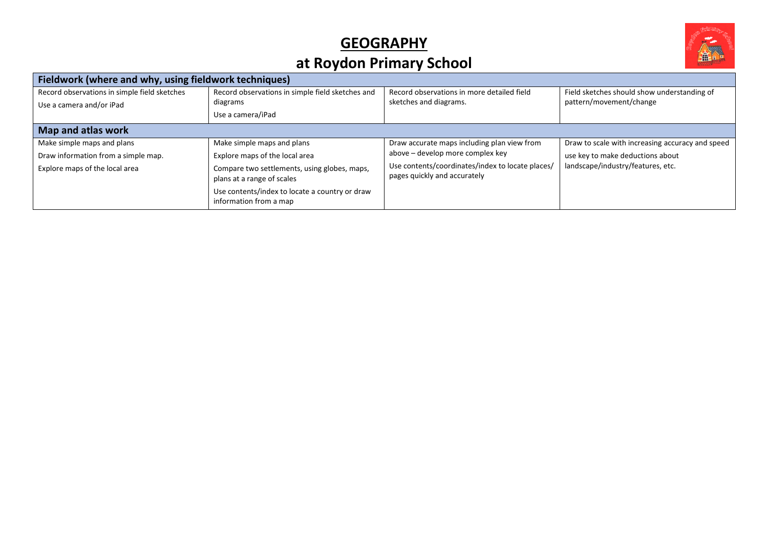#### **GEOGRAPHY**



## **at Roydon Primary School**

| Fieldwork (where and why, using fieldwork techniques)                    |                                                                            |                                                                                  |                                                                        |  |
|--------------------------------------------------------------------------|----------------------------------------------------------------------------|----------------------------------------------------------------------------------|------------------------------------------------------------------------|--|
| Record observations in simple field sketches<br>Use a camera and/or iPad | Record observations in simple field sketches and<br>diagrams               | Record observations in more detailed field<br>sketches and diagrams.             | Field sketches should show understanding of<br>pattern/movement/change |  |
|                                                                          | Use a camera/iPad                                                          |                                                                                  |                                                                        |  |
| Map and atlas work                                                       |                                                                            |                                                                                  |                                                                        |  |
| Make simple maps and plans                                               | Make simple maps and plans                                                 | Draw accurate maps including plan view from                                      | Draw to scale with increasing accuracy and speed                       |  |
| Draw information from a simple map.                                      | Explore maps of the local area                                             | above – develop more complex key                                                 | use key to make deductions about                                       |  |
| Explore maps of the local area                                           | Compare two settlements, using globes, maps,<br>plans at a range of scales | Use contents/coordinates/index to locate places/<br>pages quickly and accurately | landscape/industry/features, etc.                                      |  |
|                                                                          | Use contents/index to locate a country or draw<br>information from a map   |                                                                                  |                                                                        |  |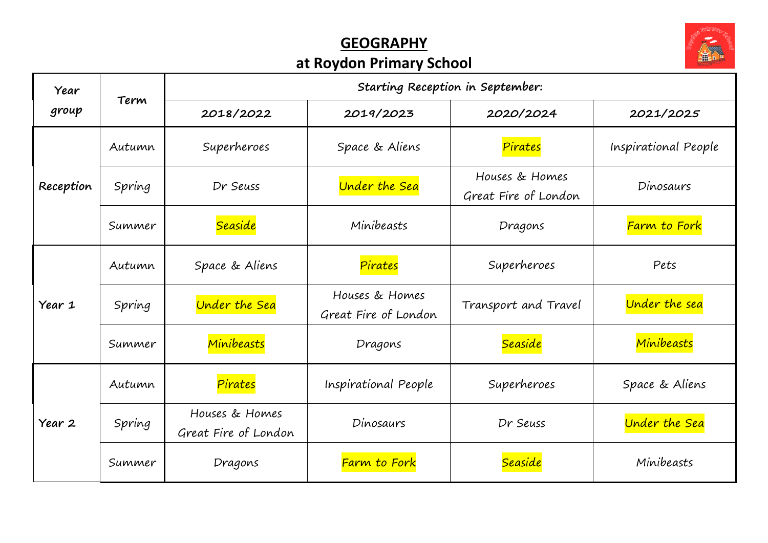#### **GEOGRAPHY at Roydon Primary School**



| Year      | Term   | Starting Reception in September:       |                                        |                                        |                      |
|-----------|--------|----------------------------------------|----------------------------------------|----------------------------------------|----------------------|
| group     |        | 2018/2022                              | 2019/2023                              | 2020/2024                              | 2021/2025            |
| Reception | Autumn | Superheroes                            | Space & Aliens                         | Pirates                                | Inspirational People |
|           | Spring | Dr Seuss                               | <b>Under the Sea</b>                   | Houses & Homes<br>Great Fire of London | Dinosaurs            |
|           | Summer | <b>Seaside</b>                         | Minibeasts                             | Dragons                                | Farm to Fork         |
| Year 1    | Autumn | Space & Aliens                         | Pirates                                | Superheroes                            | Pets                 |
|           | Spring | <b>Under the Sea</b>                   | Houses & Homes<br>Great Fire of London | Transport and Travel                   | Under the sea        |
|           | Summer | Minibeasts                             | Dragons                                | <b>Seaside</b>                         | Minibeasts           |
| Year 2    | Autumn | Pirates                                | Inspirational People                   | Superheroes                            | Space & Aliens       |
|           | Spring | Houses & Homes<br>Great Fire of London | Dinosaurs                              | Dr Seuss                               | Under the Sea        |
|           | Summer | Dragons                                | Farm to Fork                           | Seaside                                | Minibeasts           |